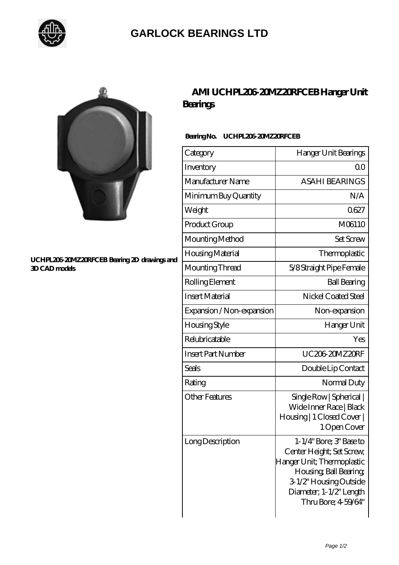

## **[GARLOCK BEARINGS LTD](https://m.letterstopriests.com)**



#### **[UCHPL206-20MZ20RFCEB Bearing 2D drawings and](https://m.letterstopriests.com/pic-189112.html) [3D CAD models](https://m.letterstopriests.com/pic-189112.html)**

## **[AMI UCHPL206-20MZ20RFCEB Hanger Unit](https://m.letterstopriests.com/aI-189112-ami-uchpl206-20mz20rfceb-hanger-unit-bearings.html) [Bearings](https://m.letterstopriests.com/aI-189112-ami-uchpl206-20mz20rfceb-hanger-unit-bearings.html)**

### **Bearing No. UCHPL206-20MZ20RFCEB**

| Category                  | Hanger Unit Bearings                                                                                                                                                                    |
|---------------------------|-----------------------------------------------------------------------------------------------------------------------------------------------------------------------------------------|
| Inventory                 | Q0                                                                                                                                                                                      |
| Manufacturer Name         | <b>ASAHI BEARINGS</b>                                                                                                                                                                   |
| Minimum Buy Quantity      | N/A                                                                                                                                                                                     |
| Weight                    | 0627                                                                                                                                                                                    |
| Product Group             | M06110                                                                                                                                                                                  |
| Mounting Method           | <b>Set Screw</b>                                                                                                                                                                        |
| Housing Material          | Thermoplastic                                                                                                                                                                           |
| Mounting Thread           | 5/8 Straight Pipe Female                                                                                                                                                                |
| Rolling Element           | <b>Ball Bearing</b>                                                                                                                                                                     |
| <b>Insert Material</b>    | Nickel Coated Steel                                                                                                                                                                     |
| Expansion / Non-expansion | Non-expansion                                                                                                                                                                           |
| <b>Housing Style</b>      | Hanger Unit                                                                                                                                                                             |
| Relubricatable            | Yes                                                                                                                                                                                     |
| <b>Insert Part Number</b> | UC20620MZ20RF                                                                                                                                                                           |
| Seals                     | Double Lip Contact                                                                                                                                                                      |
| Rating                    | Normal Duty                                                                                                                                                                             |
| <b>Other Features</b>     | Single Row   Spherical  <br>Wide Inner Race   Black<br>Housing   1 Closed Cover  <br>1 Open Cover                                                                                       |
| Long Description          | 1-1/4" Bore; 3" Base to<br>Center Height; Set Screw,<br>Hanger Unit; Thermoplastic<br>Housing, Ball Bearing,<br>3-1/2" Housing Outside<br>Diameter; 1-1/2" Length<br>Thru Bore; 459/64" |